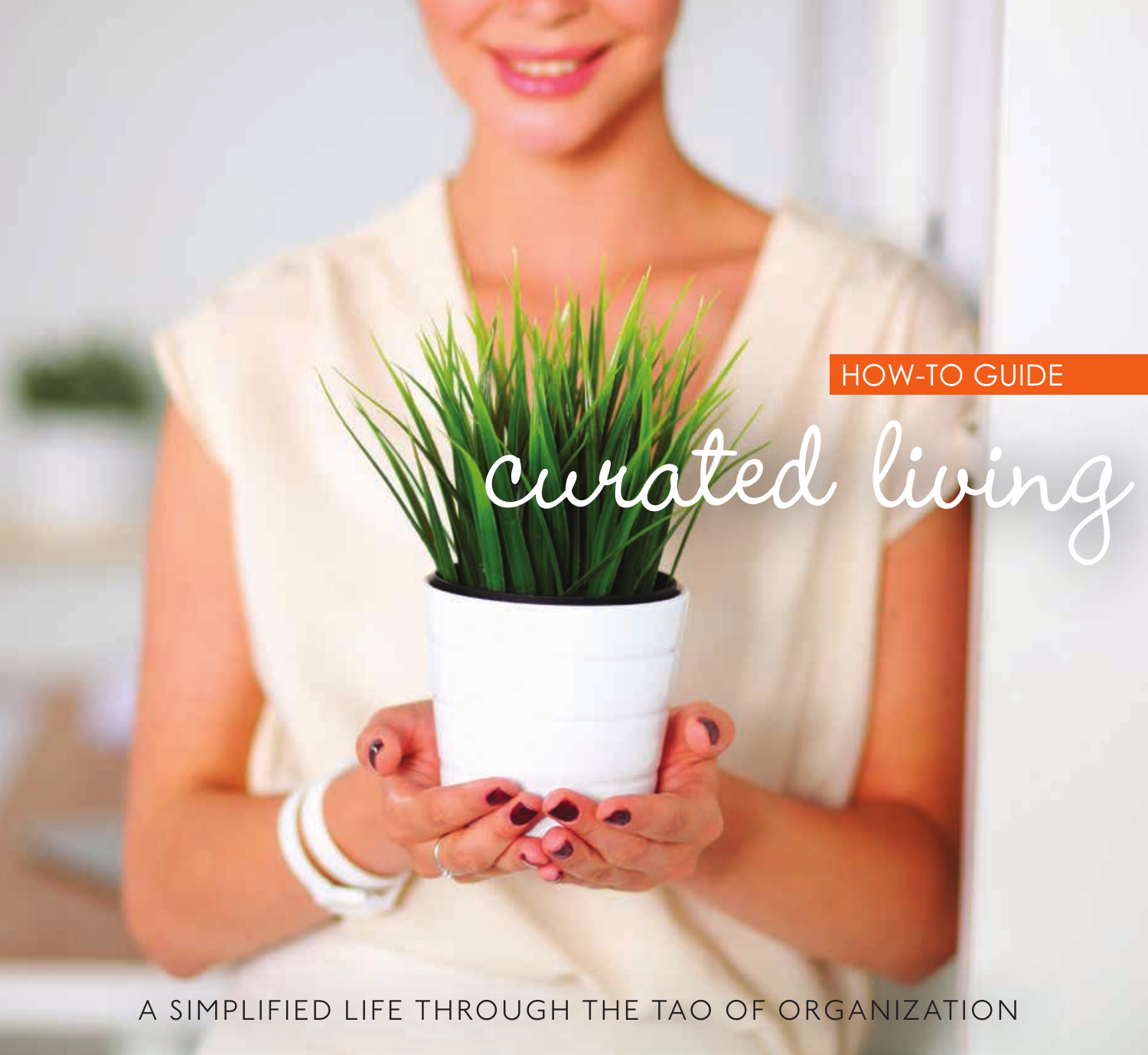## HOW-TO GUIDE

curated living

A SIMPLIFIED LIFE THROUGH THE TAO OF ORGANIZATION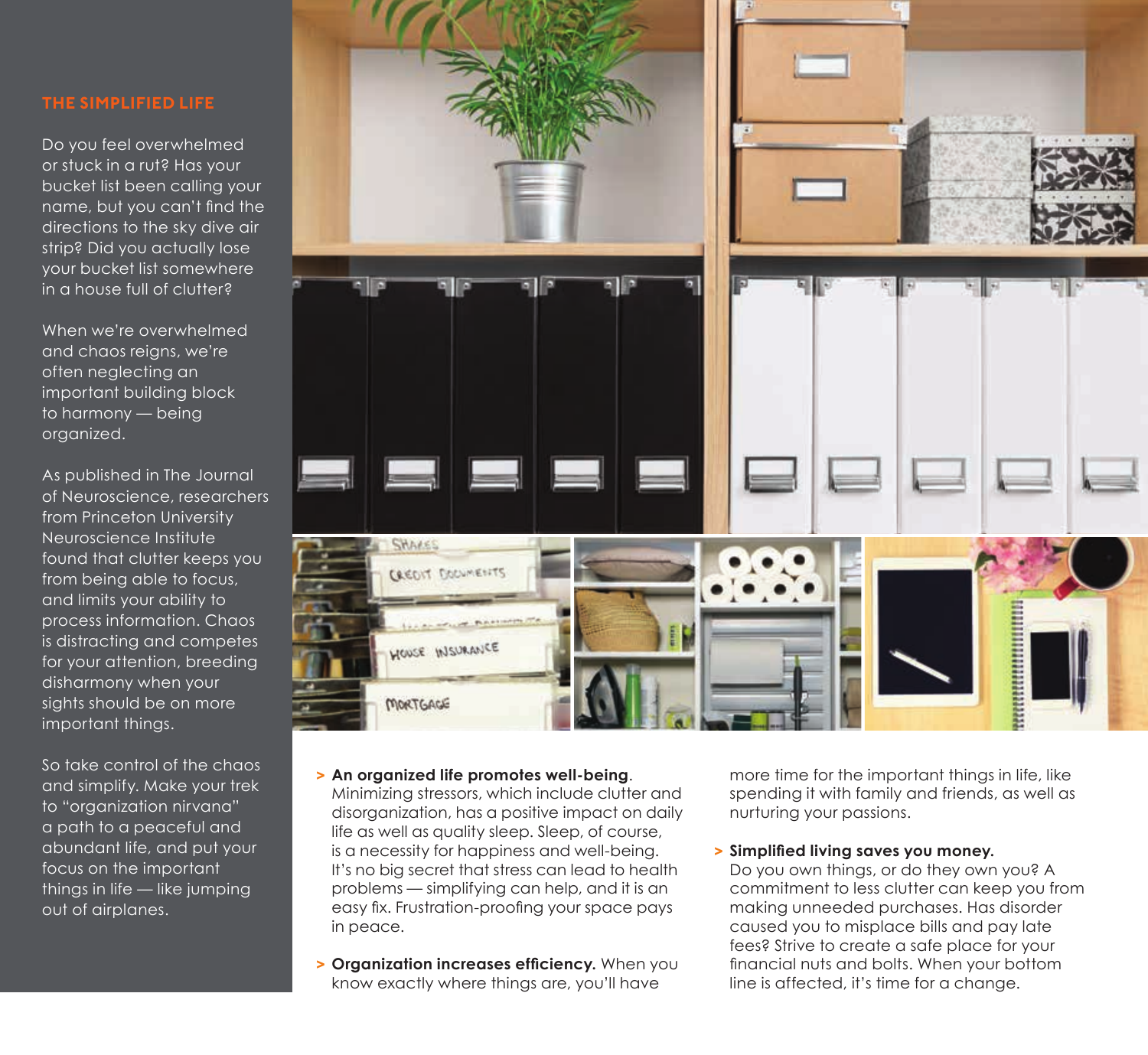Do you feel overwhelmed or stuck in a rut? Has your bucket list been calling your name, but you can't find the directions to the sky dive air strip? Did you actually lose your bucket list somewhere in a house full of clutter?

When we're overwhelmed and chaos reigns, we're often neglecting an important building block to harmony — being organized.

As published in The Journal of Neuroscience, researchers from Princeton University Neuroscience Institute found that clutter keeps you from being able to focus, and limits your ability to process information. Chaos is distracting and competes for your attention, breeding disharmony when your sights should be on more important things.

So take control of the chaos and simplify. Make your trek to "organization nirvana" a path to a peaceful and abundant life, and put your focus on the important things in life — like jumping out of airplanes.



#### **> An organized life promotes well-being**.

Minimizing stressors, which include clutter and disorganization, has a positive impact on daily life as well as quality sleep. Sleep, of course, is a necessity for happiness and well-being. It's no big secret that stress can lead to health problems — simplifying can help, and it is an easy fix. Frustration-proofing your space pays in peace.

**> Organization increases efficiency.** When you know exactly where things are, you'll have

more time for the important things in life, like spending it with family and friends, as well as nurturing your passions.

### **> Simplified living saves you money.**

Do you own things, or do they own you? A commitment to less clutter can keep you from making unneeded purchases. Has disorder caused you to misplace bills and pay late fees? Strive to create a safe place for your financial nuts and bolts. When your bottom line is affected, it's time for a change.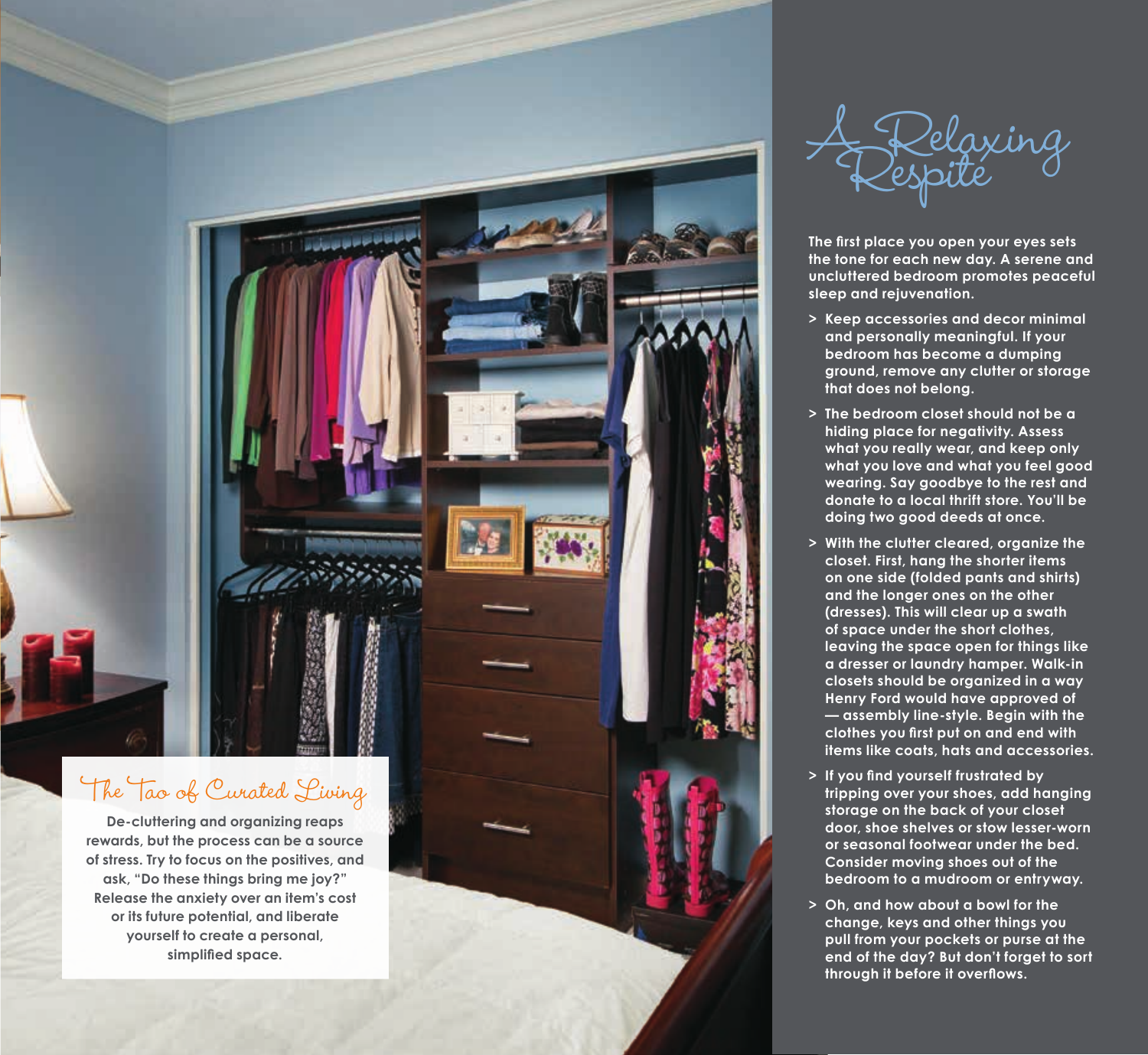

Kelaxing<br>espite

**The first place you open your eyes sets the tone for each new day. A serene and uncluttered bedroom promotes peaceful sleep and rejuvenation.** 

- **> Keep accessories and decor minimal and personally meaningful. If your bedroom has become a dumping ground, remove any clutter or storage that does not belong.**
- **> The bedroom closet should not be a hiding place for negativity. Assess what you really wear, and keep only what you love and what you feel good wearing. Say goodbye to the rest and donate to a local thrift store. You'll be doing two good deeds at once.**
- **> With the clutter cleared, organize the closet. First, hang the shorter items on one side (folded pants and shirts) and the longer ones on the other (dresses). This will clear up a swath of space under the short clothes, leaving the space open for things like a dresser or laundry hamper. Walk-in closets should be organized in a way Henry Ford would have approved of — assembly line-style. Begin with the clothes you first put on and end with items like coats, hats and accessories.**
- **> If you find yourself frustrated by tripping over your shoes, add hanging storage on the back of your closet door, shoe shelves or stow lesser-worn or seasonal footwear under the bed. Consider moving shoes out of the bedroom to a mudroom or entryway.**
- **> Oh, and how about a bowl for the change, keys and other things you pull from your pockets or purse at the end of the day? But don't forget to sort through it before it overflows.**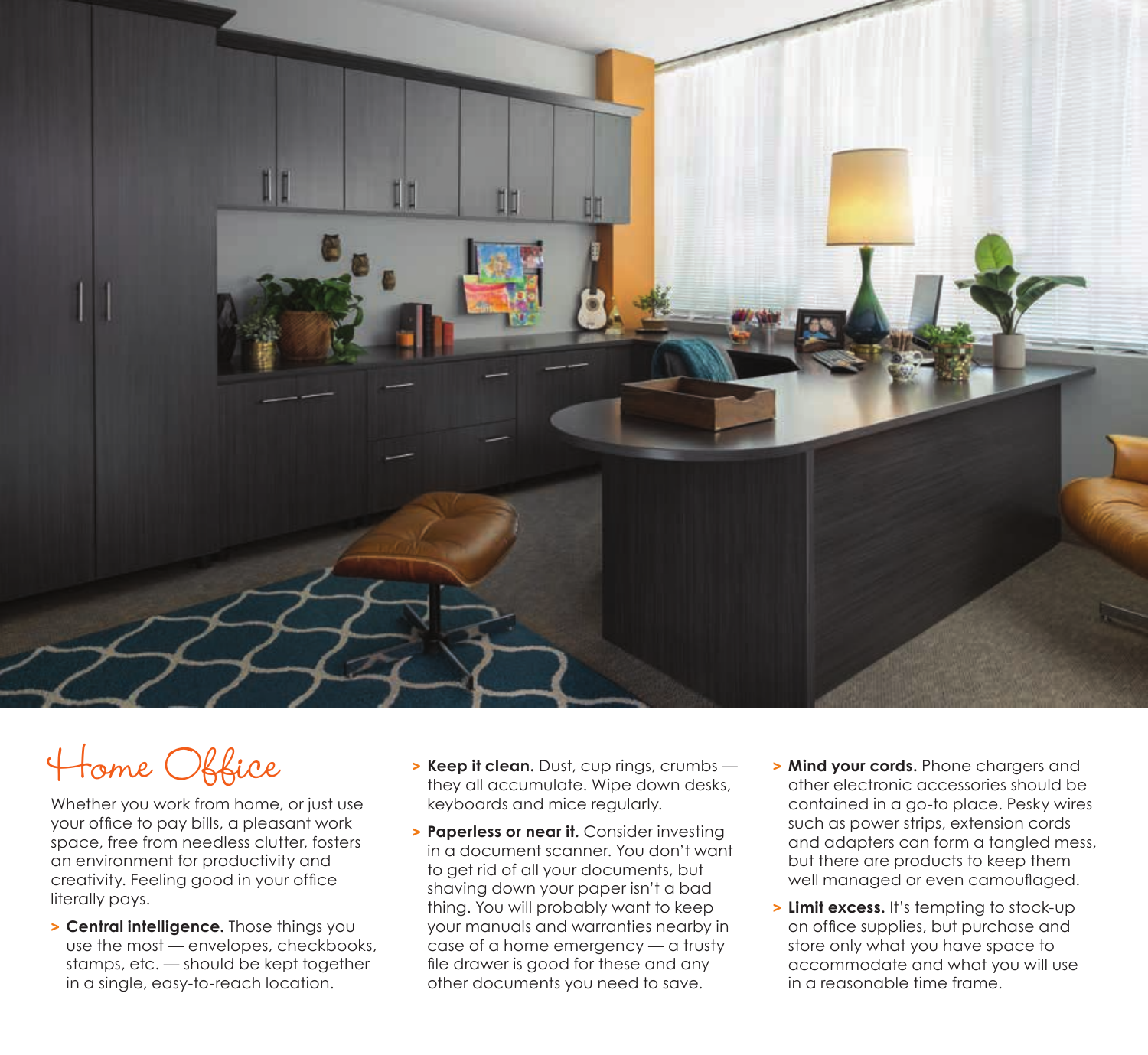

# Home Office

Whether you work from home, or just use your office to pay bills, a pleasant work space, free from needless clutter, fosters an environment for productivity and creativity. Feeling good in your office literally pays.

**> Central intelligence.** Those things you use the most — envelopes, checkbooks, stamps, etc. — should be kept together in a single, easy-to-reach location.

- **> Keep it clean.** Dust, cup rings, crumbs they all accumulate. Wipe down desks, keyboards and mice regularly.
- **> Paperless or near it.** Consider investing in a document scanner. You don't want to get rid of all your documents, but shaving down your paper isn't a bad thing. You will probably want to keep your manuals and warranties nearby in case of a home emergency — a trusty file drawer is good for these and any other documents you need to save.
- **> Mind your cords.** Phone chargers and other electronic accessories should be contained in a go-to place. Pesky wires such as power strips, extension cords and adapters can form a tangled mess, but there are products to keep them well managed or even camouflaged.
- **> Limit excess.** It's tempting to stock-up on office supplies, but purchase and store only what you have space to accommodate and what you will use in a reasonable time frame.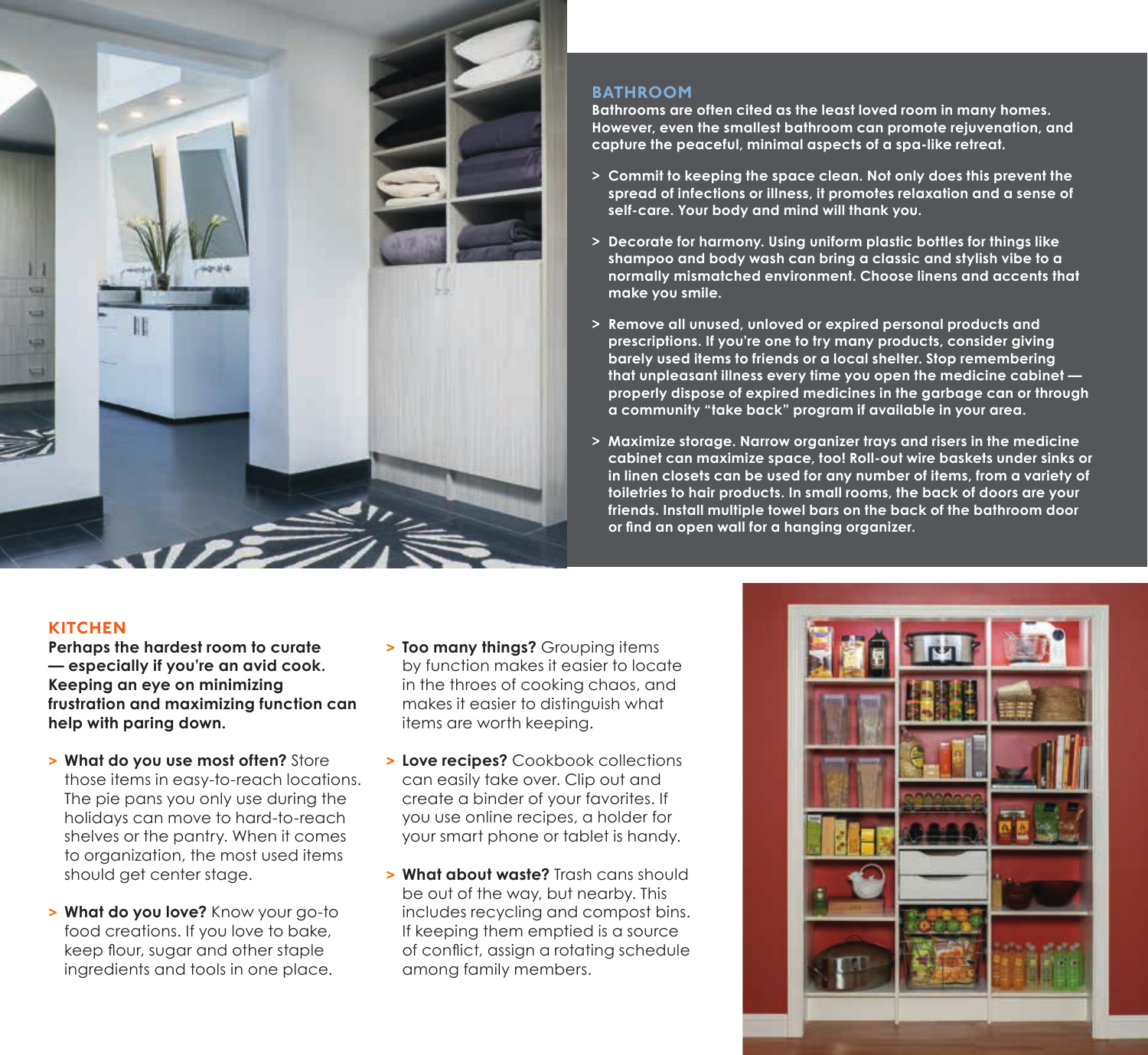

### **BATHROOM**

**Bathrooms are often cited as the least loved room in many homes. However, even the smallest bathroom can promote rejuvenation, and capture the peaceful, minimal aspects of a spa-like retreat.**

- **> Commit to keeping the space clean. Not only does this prevent the spread of infections or illness, it promotes relaxation and a sense of self-care. Your body and mind will thank you.**
- **> Decorate for harmony. Using uniform plastic bottles for things like shampoo and body wash can bring a classic and stylish vibe to a normally mismatched environment. Choose linens and accents that make you smile.**
- **> Remove all unused, unloved or expired personal products and prescriptions. If you're one to try many products, consider giving barely used items to friends or a local shelter. Stop remembering that unpleasant illness every time you open the medicine cabinet properly dispose of expired medicines in the garbage can or through a community "take back" program if available in your area.**
- **> Maximize storage. Narrow organizer trays and risers in the medicine cabinet can maximize space, too! Roll-out wire baskets under sinks or in linen closets can be used for any number of items, from a variety of toiletries to hair products. In small rooms, the back of doors are your friends. Install multiple towel bars on the back of the bathroom door or find an open wall for a hanging organizer.**

### **KITCHEN**

**Perhaps the hardest room to curate — especially if you're an avid cook. Keeping an eye on minimizing frustration and maximizing function can help with paring down.**

- **> What do you use most often?** Store those items in easy-to-reach locations. The pie pans you only use during the holidays can move to hard-to-reach shelves or the pantry. When it comes to organization, the most used items should get center stage.
- **> What do you love?** Know your go-to food creations. If you love to bake, keep flour, sugar and other staple ingredients and tools in one place.
- **> Too many things?** Grouping items by function makes it easier to locate in the throes of cooking chaos, and makes it easier to distinguish what items are worth keeping.
- **> Love recipes?** Cookbook collections can easily take over. Clip out and create a binder of your favorites. If you use online recipes, a holder for your smart phone or tablet is handy.
- **> What about waste?** Trash cans should be out of the way, but nearby. This includes recycling and compost bins. If keeping them emptied is a source of conflict, assign a rotating schedule among family members.